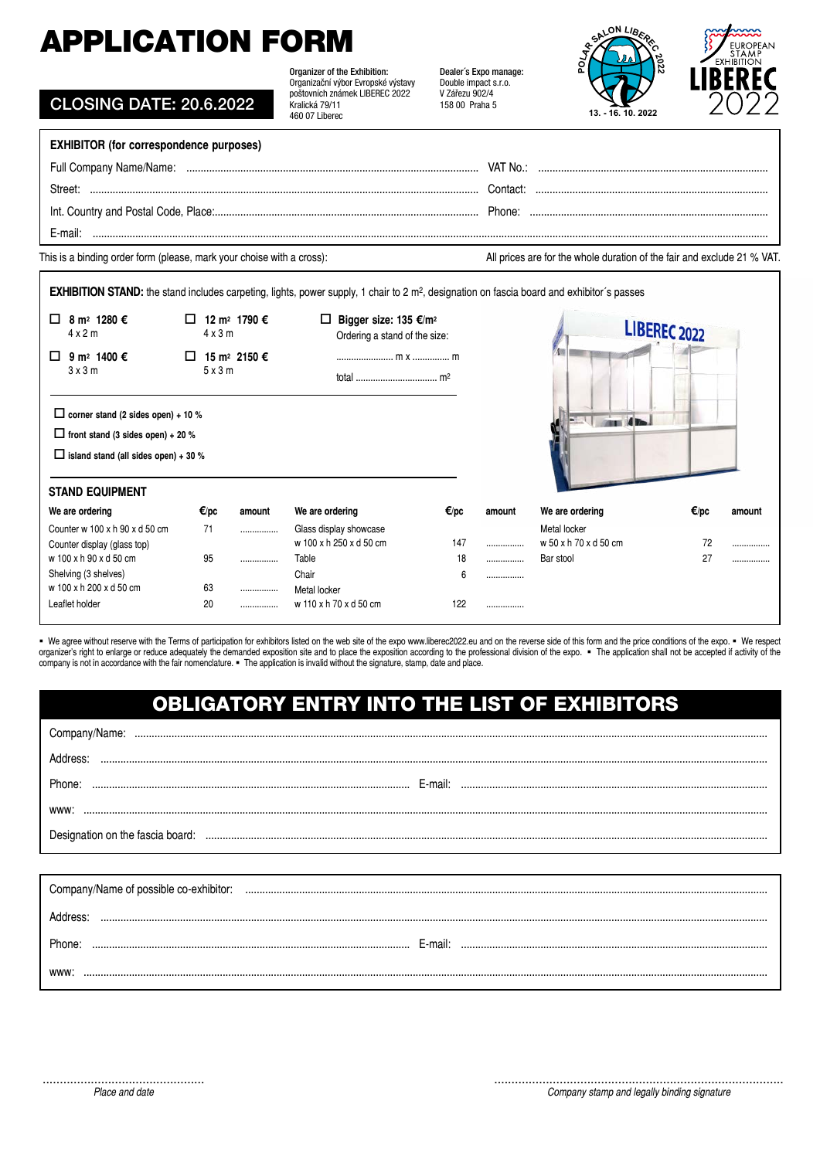# APPLICATION FORM

| <b>APPLICATION FORM</b>                                               |                                                   |                                                                                                                                                        |                                                                                   | ALON LIBA                                                               |  |  |  |  |
|-----------------------------------------------------------------------|---------------------------------------------------|--------------------------------------------------------------------------------------------------------------------------------------------------------|-----------------------------------------------------------------------------------|-------------------------------------------------------------------------|--|--|--|--|
| <b>CLOSING DATE: 20.6.2022</b>                                        |                                                   | Organizer of the Exhibition:<br>Organizační výbor Evropské výstavy<br>poštovních známek LIBEREC 2022<br>Kralická 79/11<br>460 07 Liberec               | Dealer's Expo manage:<br>Double impact s.r.o.<br>V Zářezu 902/4<br>158 00 Praha 5 | $\frac{22}{2}$<br>õ<br>13. - 16. 10. 2022                               |  |  |  |  |
| <b>EXHIBITOR (for correspondence purposes)</b>                        |                                                   |                                                                                                                                                        |                                                                                   |                                                                         |  |  |  |  |
|                                                                       |                                                   |                                                                                                                                                        |                                                                                   |                                                                         |  |  |  |  |
| Street:                                                               |                                                   |                                                                                                                                                        |                                                                                   |                                                                         |  |  |  |  |
|                                                                       |                                                   |                                                                                                                                                        |                                                                                   |                                                                         |  |  |  |  |
| E-mail:                                                               |                                                   |                                                                                                                                                        |                                                                                   |                                                                         |  |  |  |  |
| This is a binding order form (please, mark your choise with a cross): |                                                   |                                                                                                                                                        |                                                                                   | All prices are for the whole duration of the fair and exclude 21 % VAT. |  |  |  |  |
|                                                                       |                                                   | EXHIBITION STAND: the stand includes carpeting, lights, power supply, 1 chair to 2 m <sup>2</sup> , designation on fascia board and exhibitor's passes |                                                                                   |                                                                         |  |  |  |  |
| 8 m <sup>2</sup> 1280 €<br>П.<br>4x2m                                 | $\Box$ 12 m <sup>2</sup> 1790 €<br>$4 \times 3$ m | □ Bigger size: 135 $E/m^2$<br>Ordering a stand of the size:                                                                                            |                                                                                   | LIBEREC 2022                                                            |  |  |  |  |
| 9 m <sup>2</sup> 1400 €<br>□<br>3x3m                                  | $\Box$ 15 m <sup>2</sup> 2150 €<br>5x3m           |                                                                                                                                                        |                                                                                   |                                                                         |  |  |  |  |
| $\Box$ corner stand (2 sides open) + 10 %                             |                                                   |                                                                                                                                                        |                                                                                   | <b>SENT</b><br><b>Contract of the</b>                                   |  |  |  |  |

| $\Box$ front stand (3 sides open) + 20 %<br>$\Box$ island stand (all sides open) + 30 % |          |        |                                                   |         |        |                                       |      |        |
|-----------------------------------------------------------------------------------------|----------|--------|---------------------------------------------------|---------|--------|---------------------------------------|------|--------|
| <b>STAND EQUIPMENT</b>                                                                  |          |        |                                                   |         |        |                                       |      |        |
| We are ordering                                                                         | €/pc     | amount | We are ordering                                   | €/pc    | amount | We are ordering                       | €/pc | amount |
| Counter w $100 \times h$ 90 $\times$ d 50 cm<br>Counter display (glass top)             | 71       |        | Glass display showcase<br>w 100 x h 250 x d 50 cm | 147     |        | Metal locker<br>w 50 x h 70 x d 50 cm | 72   |        |
| w 100 x h 90 x d 50 cm<br>Shelving (3 shelves)                                          | 95       |        | Table<br>Chair                                    | 18<br>6 | <br>   | Bar stool                             | 27   |        |
| w 100 x h 200 x d 50 cm<br>Leaflet holder                                               | 63<br>20 | <br>   | Metal locker<br>w 110 x h 70 x d 50 cm            | 122     |        |                                       |      |        |

 We agree without reserve with the Terms of participation for exhibitors listed on the web site of the expo www.liberec2022.eu and on the reverse side of this form and the price conditions of the expo. We respect organizer's right to enlarge or reduce adequately the demanded exposition site and to place the exposition according to the professional division of the expo. . The application shall not be accepted if activity of the company is not in accordance with the fair nomenclature. The application is invalid without the signature, stamp, date and place.

### OBLIGATORY ENTRY INTO THE LIST OF EXHIBITORS

| Phone:                                 | E-mail: |  |  |  |  |
|----------------------------------------|---------|--|--|--|--|
| <b>WWW</b>                             |         |  |  |  |  |
| Designation on the fascia board:       |         |  |  |  |  |
|                                        |         |  |  |  |  |
| Company/Name of possible co-exhibitor: |         |  |  |  |  |
|                                        |         |  |  |  |  |
|                                        |         |  |  |  |  |

www: .................................................................................................................................................................................................................................................